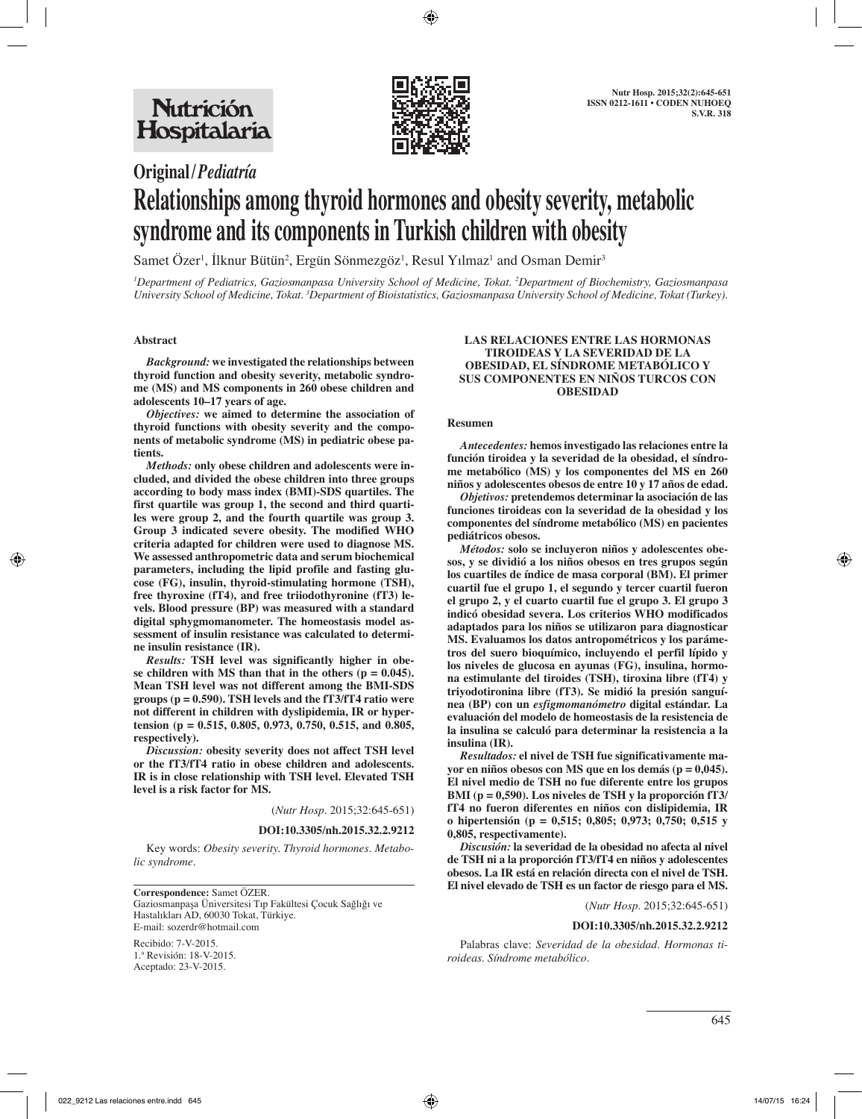

## **Original/***Pediatría*

# **Relationships among thyroid hormones and obesity severity, metabolic syndrome and its components in Turkish children with obesity**

Samet Özer<sup>1</sup>, İlknur Bütün<sup>2</sup>, Ergün Sönmezgöz<sup>1</sup>, Resul Yılmaz<sup>1</sup> and Osman Demir<sup>3</sup>

*1 Department of Pediatrics, Gaziosmanpasa University School of Medicine, Tokat. 2 Department of Biochemistry, Gaziosmanpasa University School of Medicine, Tokat. 3 Department of Bioistatistics, Gaziosmanpasa University School of Medicine, Tokat (Turkey).*

#### **Abstract**

*Background:* **we investigated the relationships between thyroid function and obesity severity, metabolic syndrome (MS) and MS components in 260 obese children and adolescents 10–17 years of age.**

*Objectives:* **we aimed to determine the association of thyroid functions with obesity severity and the components of metabolic syndrome (MS) in pediatric obese patients.**

*Methods:* **only obese children and adolescents were included, and divided the obese children into three groups according to body mass index (BMI)-SDS quartiles. The first quartile was group 1, the second and third quartiles were group 2, and the fourth quartile was group 3. Group 3 indicated severe obesity. The modified WHO criteria adapted for children were used to diagnose MS. We assessed anthropometric data and serum biochemical parameters, including the lipid profile and fasting glucose (FG), insulin, thyroid-stimulating hormone (TSH), free thyroxine (fT4), and free triiodothyronine (fT3) levels. Blood pressure (BP) was measured with a standard digital sphygmomanometer. The homeostasis model assessment of insulin resistance was calculated to determine insulin resistance (IR).**

*Results:* **TSH level was significantly higher in obe**se children with MS than that in the others  $(p = 0.045)$ . **Mean TSH level was not different among the BMI-SDS groups (p = 0.590). TSH levels and the fT3/fT4 ratio were not different in children with dyslipidemia, IR or hypertension (p = 0.515, 0.805, 0.973, 0.750, 0.515, and 0.805, respectively).**

*Discussion:* **obesity severity does not affect TSH level or the fT3/fT4 ratio in obese children and adolescents. IR is in close relationship with TSH level. Elevated TSH level is a risk factor for MS.**

(*Nutr Hosp.* 2015;32:645-651)

#### **DOI:10.3305/nh.2015.32.2.9212**

Key words: *Obesity severity. Thyroid hormones. Metabolic syndrome.*

**Correspondence:** Samet ÖZER. Gaziosmanpaşa Üniversitesi Tıp Fakültesi Çocuk Sağlığı ve Hastalıkları AD, 60030 Tokat, Türkiye. E-mail: sozerdr@hotmail.com

Recibido: 7-V-2015. 1.ª Revisión: 18-V-2015. Aceptado: 23-V-2015.

#### **LAS RELACIONES ENTRE LAS HORMONAS TIROIDEAS Y LA SEVERIDAD DE LA OBESIDAD, EL SÍNDROME METABÓLICO Y SUS COMPONENTES EN NIÑOS TURCOS CON OBESIDAD**

#### **Resumen**

*Antecedentes:* **hemos investigado las relaciones entre la función tiroidea y la severidad de la obesidad, el síndrome metabólico (MS) y los componentes del MS en 260 niños y adolescentes obesos de entre 10 y 17 años de edad.**

*Objetivos:* **pretendemos determinar la asociación de las funciones tiroideas con la severidad de la obesidad y los componentes del síndrome metabólico (MS) en pacientes pediátricos obesos.**

*Métodos:* **solo se incluyeron niños y adolescentes obesos, y se dividió a los niños obesos en tres grupos según los cuartiles de índice de masa corporal (BM). El primer cuartil fue el grupo 1, el segundo y tercer cuartil fueron el grupo 2, y el cuarto cuartil fue el grupo 3. El grupo 3 indicó obesidad severa. Los criterios WHO modificados adaptados para los niños se utilizaron para diagnosticar MS. Evaluamos los datos antropométricos y los parámetros del suero bioquímico, incluyendo el perfil lípido y los niveles de glucosa en ayunas (FG), insulina, hormona estimulante del tiroides (TSH), tiroxina libre (fT4) y triyodotironina libre (fT3). Se midió la presión sanguínea (BP) con un** *esfigmomanómetro* **digital estándar. La evaluación del modelo de homeostasis de la resistencia de la insulina se calculó para determinar la resistencia a la insulina (IR).**

*Resultados:* **el nivel de TSH fue significativamente mayor en niños obesos con MS que en los demás (p = 0,045). El nivel medio de TSH no fue diferente entre los grupos BMI (p = 0,590). Los niveles de TSH y la proporción fT3/ fT4 no fueron diferentes en niños con dislipidemia, IR o hipertensión (p = 0,515; 0,805; 0,973; 0,750; 0,515 y 0,805, respectivamente).**

*Discusión:* **la severidad de la obesidad no afecta al nivel de TSH ni a la proporción fT3/fT4 en niños y adolescentes obesos. La IR está en relación directa con el nivel de TSH. El nivel elevado de TSH es un factor de riesgo para el MS.**

(*Nutr Hosp.* 2015;32:645-651)

#### **DOI:10.3305/nh.2015.32.2.9212**

Palabras clave: *Severidad de la obesidad. Hormonas tiroideas. Síndrome metabólico.*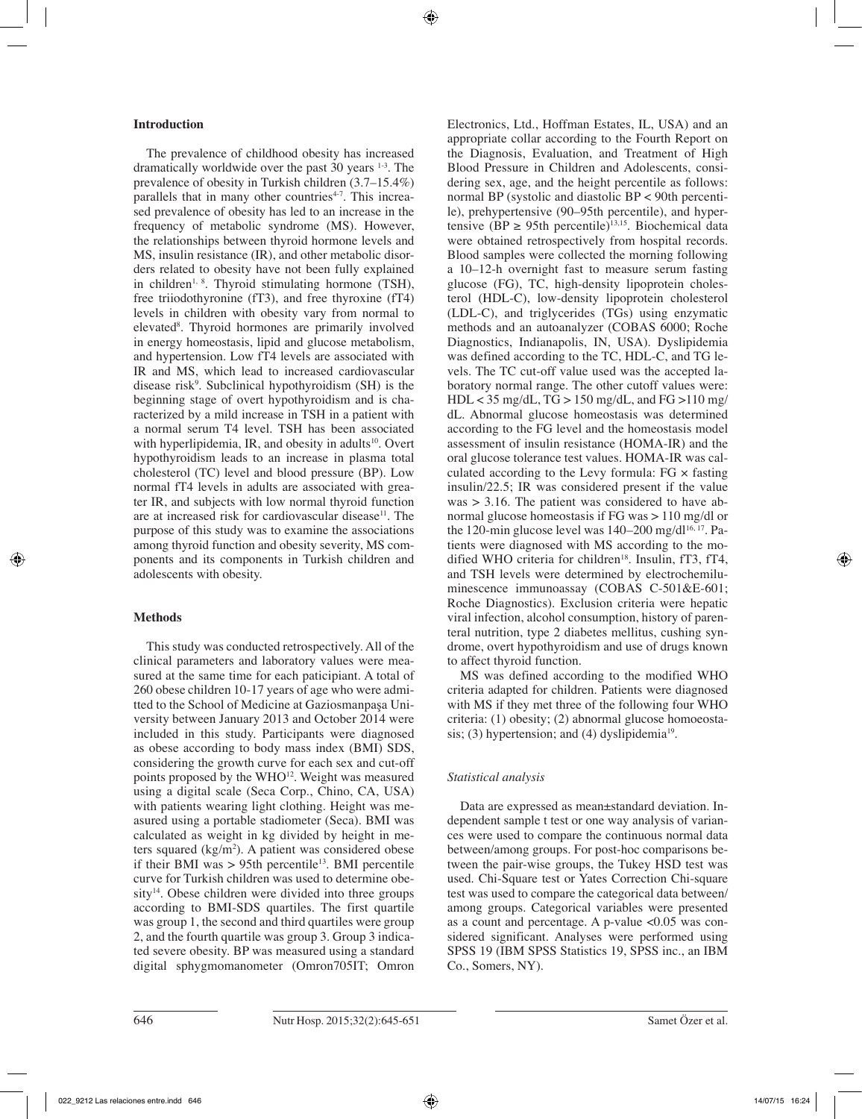## **Introduction**

The prevalence of childhood obesity has increased dramatically worldwide over the past 30 years 1-3. The prevalence of obesity in Turkish children (3.7–15.4%) parallels that in many other countries $4-7$ . This increased prevalence of obesity has led to an increase in the frequency of metabolic syndrome (MS). However, the relationships between thyroid hormone levels and MS, insulin resistance (IR), and other metabolic disorders related to obesity have not been fully explained in children<sup>1, 8</sup>. Thyroid stimulating hormone (TSH), free triiodothyronine (fT3), and free thyroxine (fT4) levels in children with obesity vary from normal to elevated<sup>8</sup>. Thyroid hormones are primarily involved in energy homeostasis, lipid and glucose metabolism, and hypertension. Low fT4 levels are associated with IR and MS, which lead to increased cardiovascular disease risk<sup>9</sup>. Subclinical hypothyroidism (SH) is the beginning stage of overt hypothyroidism and is characterized by a mild increase in TSH in a patient with a normal serum T4 level. TSH has been associated with hyperlipidemia, IR, and obesity in adults<sup>10</sup>. Overt hypothyroidism leads to an increase in plasma total cholesterol (TC) level and blood pressure (BP). Low normal fT4 levels in adults are associated with greater IR, and subjects with low normal thyroid function are at increased risk for cardiovascular disease $11$ . The purpose of this study was to examine the associations among thyroid function and obesity severity, MS components and its components in Turkish children and adolescents with obesity.

## **Methods**

This study was conducted retrospectively. All of the clinical parameters and laboratory values were measured at the same time for each paticipiant. A total of 260 obese children 10-17 years of age who were admitted to the School of Medicine at Gaziosmanpaşa University between January 2013 and October 2014 were included in this study. Participants were diagnosed as obese according to body mass index (BMI) SDS, considering the growth curve for each sex and cut-off points proposed by the  $WHO^{12}$ . Weight was measured using a digital scale (Seca Corp., Chino, CA, USA) with patients wearing light clothing. Height was measured using a portable stadiometer (Seca). BMI was calculated as weight in kg divided by height in meters squared  $(kg/m<sup>2</sup>)$ . A patient was considered obese if their BMI was  $> 95$ th percentile<sup>13</sup>. BMI percentile curve for Turkish children was used to determine obe $sity<sup>14</sup>$ . Obese children were divided into three groups according to BMI-SDS quartiles. The first quartile was group 1, the second and third quartiles were group 2, and the fourth quartile was group 3. Group 3 indicated severe obesity. BP was measured using a standard digital sphygmomanometer (Omron705IT; Omron

Electronics, Ltd., Hoffman Estates, IL, USA) and an appropriate collar according to the Fourth Report on the Diagnosis, Evaluation, and Treatment of High Blood Pressure in Children and Adolescents, considering sex, age, and the height percentile as follows: normal BP (systolic and diastolic BP < 90th percentile), prehypertensive (90–95th percentile), and hypertensive (BP  $\geq$  95th percentile)<sup>13,15</sup>. Biochemical data were obtained retrospectively from hospital records. Blood samples were collected the morning following a 10–12-h overnight fast to measure serum fasting glucose (FG), TC, high-density lipoprotein cholesterol (HDL-C), low-density lipoprotein cholesterol (LDL-C), and triglycerides (TGs) using enzymatic methods and an autoanalyzer (COBAS 6000; Roche Diagnostics, Indianapolis, IN, USA). Dyslipidemia was defined according to the TC, HDL-C, and TG levels. The TC cut-off value used was the accepted laboratory normal range. The other cutoff values were: HDL < 35 mg/dL, TG > 150 mg/dL, and FG >110 mg/ dL. Abnormal glucose homeostasis was determined according to the FG level and the homeostasis model assessment of insulin resistance (HOMA-IR) and the oral glucose tolerance test values. HOMA-IR was calculated according to the Levy formula:  $FG \times$  fasting insulin/22.5; IR was considered present if the value was > 3.16. The patient was considered to have abnormal glucose homeostasis if FG was > 110 mg/dl or the 120-min glucose level was  $140-200$  mg/d $1^{16, 17}$ . Patients were diagnosed with MS according to the modified WHO criteria for children<sup>18</sup>. Insulin,  $fT3$ ,  $fT4$ , and TSH levels were determined by electrochemiluminescence immunoassay (COBAS C-501&E-601; Roche Diagnostics). Exclusion criteria were hepatic viral infection, alcohol consumption, history of parenteral nutrition, type 2 diabetes mellitus, cushing syndrome, overt hypothyroidism and use of drugs known to affect thyroid function.

MS was defined according to the modified WHO criteria adapted for children. Patients were diagnosed with MS if they met three of the following four WHO criteria: (1) obesity; (2) abnormal glucose homoeostasis; (3) hypertension; and (4) dyslipidemia<sup>19</sup>.

## *Statistical analysis*

Data are expressed as mean±standard deviation. Independent sample t test or one way analysis of variances were used to compare the continuous normal data between/among groups. For post-hoc comparisons between the pair-wise groups, the Tukey HSD test was used. Chi-Square test or Yates Correction Chi-square test was used to compare the categorical data between/ among groups. Categorical variables were presented as a count and percentage. A p-value  $\langle 0.05 \rangle$  was considered significant. Analyses were performed using SPSS 19 (IBM SPSS Statistics 19, SPSS inc., an IBM Co., Somers, NY).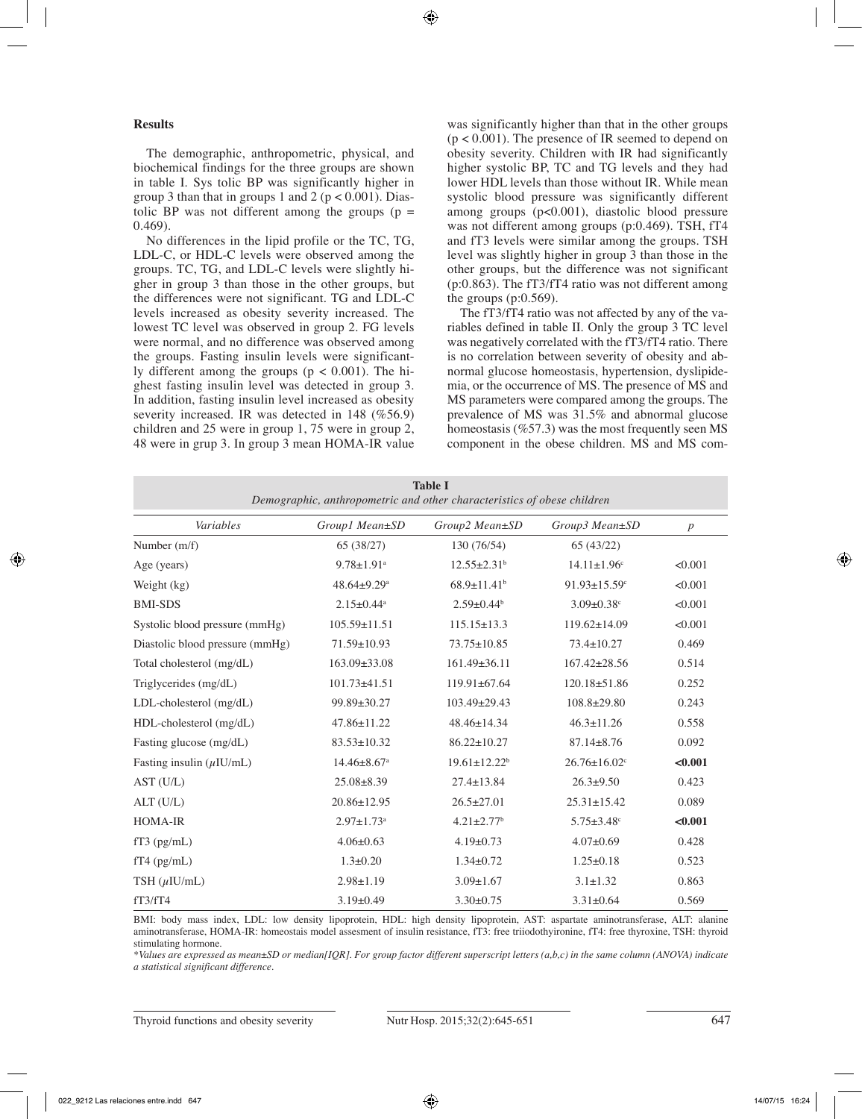## **Results**

The demographic, anthropometric, physical, and biochemical findings for the three groups are shown in table I. Sys tolic BP was significantly higher in group 3 than that in groups 1 and 2 ( $p < 0.001$ ). Diastolic BP was not different among the groups  $(p =$ 0.469).

No differences in the lipid profile or the TC, TG, LDL-C, or HDL-C levels were observed among the groups. TC, TG, and LDL-C levels were slightly higher in group 3 than those in the other groups, but the differences were not significant. TG and LDL-C levels increased as obesity severity increased. The lowest TC level was observed in group 2. FG levels were normal, and no difference was observed among the groups. Fasting insulin levels were significantly different among the groups  $(p < 0.001)$ . The highest fasting insulin level was detected in group 3. In addition, fasting insulin level increased as obesity severity increased. IR was detected in 148 (%56.9) children and 25 were in group 1, 75 were in group 2, 48 were in grup 3. In group 3 mean HOMA-IR value was significantly higher than that in the other groups (p < 0.001). The presence of IR seemed to depend on obesity severity. Children with IR had significantly higher systolic BP, TC and TG levels and they had lower HDL levels than those without IR. While mean systolic blood pressure was significantly different among groups (p<0.001), diastolic blood pressure was not different among groups (p:0.469). TSH, fT4 and fT3 levels were similar among the groups. TSH level was slightly higher in group 3 than those in the other groups, but the difference was not significant (p:0.863). The fT3/fT4 ratio was not different among the groups  $(p:0.569)$ .

The fT3/fT4 ratio was not affected by any of the variables defined in table II. Only the group 3 TC level was negatively correlated with the fT3/fT4 ratio. There is no correlation between severity of obesity and abnormal glucose homeostasis, hypertension, dyslipidemia, or the occurrence of MS. The presence of MS and MS parameters were compared among the groups. The prevalence of MS was 31.5% and abnormal glucose homeostasis (%57.3) was the most frequently seen MS component in the obese children. MS and MS com-

| <b>Table I</b><br>Demographic, anthropometric and other characteristics of obese children |                               |                                |                                |                  |  |  |  |  |
|-------------------------------------------------------------------------------------------|-------------------------------|--------------------------------|--------------------------------|------------------|--|--|--|--|
| Variables                                                                                 | Group1 Mean±SD                | Group2 Mean±SD                 | Group3 Mean±SD                 | $\boldsymbol{p}$ |  |  |  |  |
| Number (m/f)                                                                              | 65 (38/27)                    | 130 (76/54)                    | 65(43/22)                      |                  |  |  |  |  |
| Age (years)                                                                               | $9.78 \pm 1.91$ <sup>a</sup>  | $12.55 \pm 2.31$ <sup>b</sup>  | $14.11 \pm 1.96$ <sup>c</sup>  | < 0.001          |  |  |  |  |
| Weight (kg)                                                                               | $48.64 \pm 9.29$ <sup>a</sup> | $68.9 \pm 11.41$ <sup>b</sup>  | $91.93 \pm 15.59$ <sup>c</sup> | < 0.001          |  |  |  |  |
| <b>BMI-SDS</b>                                                                            | $2.15 \pm 0.44$ <sup>a</sup>  | $2.59 \pm 0.44$ <sup>b</sup>   | $3.09 \pm 0.38$ <sup>c</sup>   | < 0.001          |  |  |  |  |
| Systolic blood pressure (mmHg)                                                            | $105.59 \pm 11.51$            | $115.15 \pm 13.3$              | 119.62±14.09                   | < 0.001          |  |  |  |  |
| Diastolic blood pressure (mmHg)                                                           | 71.59±10.93                   | 73.75±10.85                    | $73.4 \pm 10.27$               | 0.469            |  |  |  |  |
| Total cholesterol (mg/dL)                                                                 | 163.09±33.08                  | $161.49\pm 36.11$              | $167.42 \pm 28.56$             | 0.514            |  |  |  |  |
| Triglycerides (mg/dL)                                                                     | $101.73 \pm 41.51$            | 119.91±67.64                   | $120.18 \pm 51.86$             | 0.252            |  |  |  |  |
| LDL-cholesterol (mg/dL)                                                                   | 99.89±30.27                   | 103.49±29.43                   | $108.8 \pm 29.80$              | 0.243            |  |  |  |  |
| HDL-cholesterol (mg/dL)                                                                   | 47.86±11.22                   | 48.46±14.34                    | $46.3 \pm 11.26$               | 0.558            |  |  |  |  |
| Fasting glucose (mg/dL)                                                                   | $83.53 \pm 10.32$             | $86.22 \pm 10.27$              | $87.14 \pm 8.76$               | 0.092            |  |  |  |  |
| Fasting insulin $(\mu I U/mL)$                                                            | $14.46 \pm 8.67$ <sup>a</sup> | $19.61 \pm 12.22$ <sup>b</sup> | $26.76 \pm 16.02$ <sup>c</sup> | < 0.001          |  |  |  |  |
| AST (U/L)                                                                                 | $25.08 \pm 8.39$              | $27.4 \pm 13.84$               | $26.3+9.50$                    | 0.423            |  |  |  |  |
| ALT (U/L)                                                                                 | 20.86±12.95                   | $26.5 \pm 27.01$               | $25.31 \pm 15.42$              | 0.089            |  |  |  |  |
| <b>HOMA-IR</b>                                                                            | $2.97 \pm 1.73$ <sup>a</sup>  | $4.21 \pm 2.77$ <sup>b</sup>   | $5.75 \pm 3.48$ <sup>c</sup>   | < 0.001          |  |  |  |  |
| $fT3$ (pg/mL)                                                                             | $4.06 \pm 0.63$               | $4.19 \pm 0.73$                | $4.07 \pm 0.69$                | 0.428            |  |  |  |  |
| $fT4$ (pg/mL)                                                                             | $1.3 \pm 0.20$                | $1.34 \pm 0.72$                | $1.25 \pm 0.18$                | 0.523            |  |  |  |  |
| TSH $(\mu$ IU/mL)                                                                         | $2.98 \pm 1.19$               | $3.09 \pm 1.67$                | $3.1 \pm 1.32$                 | 0.863            |  |  |  |  |
| fT3/fT4                                                                                   | $3.19 \pm 0.49$               | $3.30 \pm 0.75$                | $3.31 \pm 0.64$                | 0.569            |  |  |  |  |

BMI: body mass index, LDL: low density lipoprotein, HDL: high density lipoprotein, AST: aspartate aminotransferase, ALT: alanine aminotransferase, HOMA-IR: homeostais model assesment of insulin resistance, fT3: free triiodothyironine, fT4: free thyroxine, TSH: thyroid stimulating hormone.

*\*Values are expressed as mean±SD or median[IQR]. For group factor different superscript letters (a,b,c) in the same column (ANOVA) indicate a statistical significant difference.*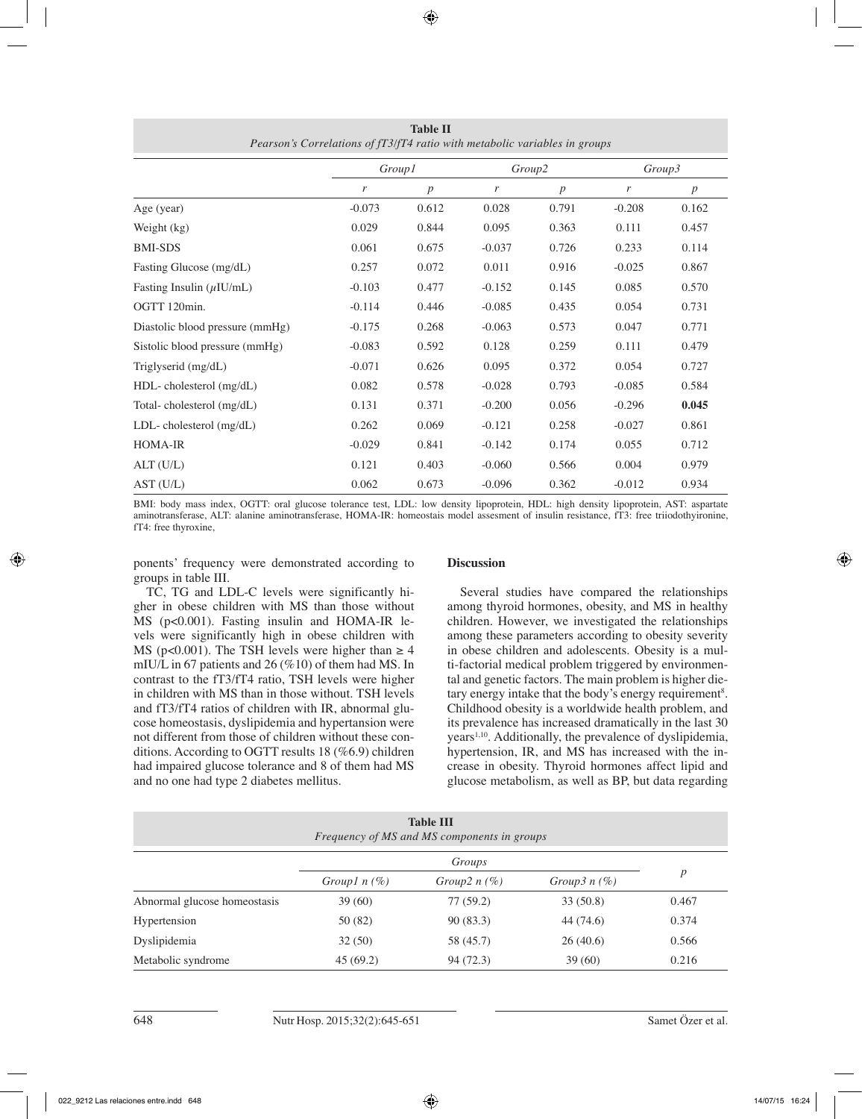|                                 | <i>Group1</i> |                  | Group2        |                  | Group3   |                  |  |  |
|---------------------------------|---------------|------------------|---------------|------------------|----------|------------------|--|--|
|                                 | r             | $\boldsymbol{p}$ | $\mathcal{F}$ | $\boldsymbol{p}$ | r        | $\boldsymbol{p}$ |  |  |
| Age (year)                      | $-0.073$      | 0.612            | 0.028         | 0.791            | $-0.208$ | 0.162            |  |  |
| Weight (kg)                     | 0.029         | 0.844            | 0.095         | 0.363            | 0.111    | 0.457            |  |  |
| <b>BMI-SDS</b>                  | 0.061         | 0.675            | $-0.037$      | 0.726            | 0.233    | 0.114            |  |  |
| Fasting Glucose (mg/dL)         | 0.257         | 0.072            | 0.011         | 0.916            | $-0.025$ | 0.867            |  |  |
| Fasting Insulin $(\mu I U/mL)$  | $-0.103$      | 0.477            | $-0.152$      | 0.145            | 0.085    | 0.570            |  |  |
| OGTT 120min.                    | $-0.114$      | 0.446            | $-0.085$      | 0.435            | 0.054    | 0.731            |  |  |
| Diastolic blood pressure (mmHg) | $-0.175$      | 0.268            | $-0.063$      | 0.573            | 0.047    | 0.771            |  |  |
| Sistolic blood pressure (mmHg)  | $-0.083$      | 0.592            | 0.128         | 0.259            | 0.111    | 0.479            |  |  |
| Triglyserid (mg/dL)             | $-0.071$      | 0.626            | 0.095         | 0.372            | 0.054    | 0.727            |  |  |
| $HDL$ -cholesterol $(mg/dL)$    | 0.082         | 0.578            | $-0.028$      | 0.793            | $-0.085$ | 0.584            |  |  |
| Total-cholesterol (mg/dL)       | 0.131         | 0.371            | $-0.200$      | 0.056            | $-0.296$ | 0.045            |  |  |
| $LDL$ -cholesterol $(mg/dL)$    | 0.262         | 0.069            | $-0.121$      | 0.258            | $-0.027$ | 0.861            |  |  |
| <b>HOMA-IR</b>                  | $-0.029$      | 0.841            | $-0.142$      | 0.174            | 0.055    | 0.712            |  |  |
| ALT(U/L)                        | 0.121         | 0.403            | $-0.060$      | 0.566            | 0.004    | 0.979            |  |  |
| AST (U/L)                       | 0.062         | 0.673            | $-0.096$      | 0.362            | $-0.012$ | 0.934            |  |  |

**Table II** *Pearson's Correlations of fT3/fT4 ratio with metabolic variables in groups*

BMI: body mass index, OGTT: oral glucose tolerance test, LDL: low density lipoprotein, HDL: high density lipoprotein, AST: aspartate aminotransferase, ALT: alanine aminotransferase, HOMA-IR: homeostais model assesment of insulin resistance, fT3: free triiodothyironine, fT4: free thyroxine,

ponents' frequency were demonstrated according to groups in table III.

#### **Discussion**

TC, TG and LDL-C levels were significantly higher in obese children with MS than those without MS (p<0.001). Fasting insulin and HOMA-IR levels were significantly high in obese children with MS (p<0.001). The TSH levels were higher than  $\geq 4$ mIU/L in 67 patients and 26 (%10) of them had MS. In contrast to the fT3/fT4 ratio, TSH levels were higher in children with MS than in those without. TSH levels and fT3/fT4 ratios of children with IR, abnormal glucose homeostasis, dyslipidemia and hypertansion were not different from those of children without these conditions. According to OGTT results 18 (%6.9) children had impaired glucose tolerance and 8 of them had MS and no one had type 2 diabetes mellitus.

Several studies have compared the relationships among thyroid hormones, obesity, and MS in healthy children. However, we investigated the relationships among these parameters according to obesity severity in obese children and adolescents. Obesity is a multi-factorial medical problem triggered by environmental and genetic factors. The main problem is higher dietary energy intake that the body's energy requirement<sup>8</sup>. Childhood obesity is a worldwide health problem, and its prevalence has increased dramatically in the last 30 years<sup>1,10</sup>. Additionally, the prevalence of dyslipidemia, hypertension, IR, and MS has increased with the increase in obesity. Thyroid hormones affect lipid and glucose metabolism, as well as BP, but data regarding

| <b>Table III</b><br>Frequency of MS and MS components in groups |                   |                  |                |                  |  |  |  |
|-----------------------------------------------------------------|-------------------|------------------|----------------|------------------|--|--|--|
|                                                                 |                   |                  |                |                  |  |  |  |
|                                                                 | Group $ln($ % $)$ | Group $2 n (\%)$ | Group3 $n$ (%) | $\boldsymbol{p}$ |  |  |  |
| Abnormal glucose homeostasis                                    | 39(60)            | 77(59.2)         | 33(50.8)       | 0.467            |  |  |  |
| Hypertension                                                    | 50 (82)           | 90(83.3)         | 44 (74.6)      | 0.374            |  |  |  |
| Dyslipidemia                                                    | 32(50)            | 58 (45.7)        | 26(40.6)       | 0.566            |  |  |  |
| Metabolic syndrome                                              | 45(69.2)          | 94 (72.3)        | 39(60)         | 0.216            |  |  |  |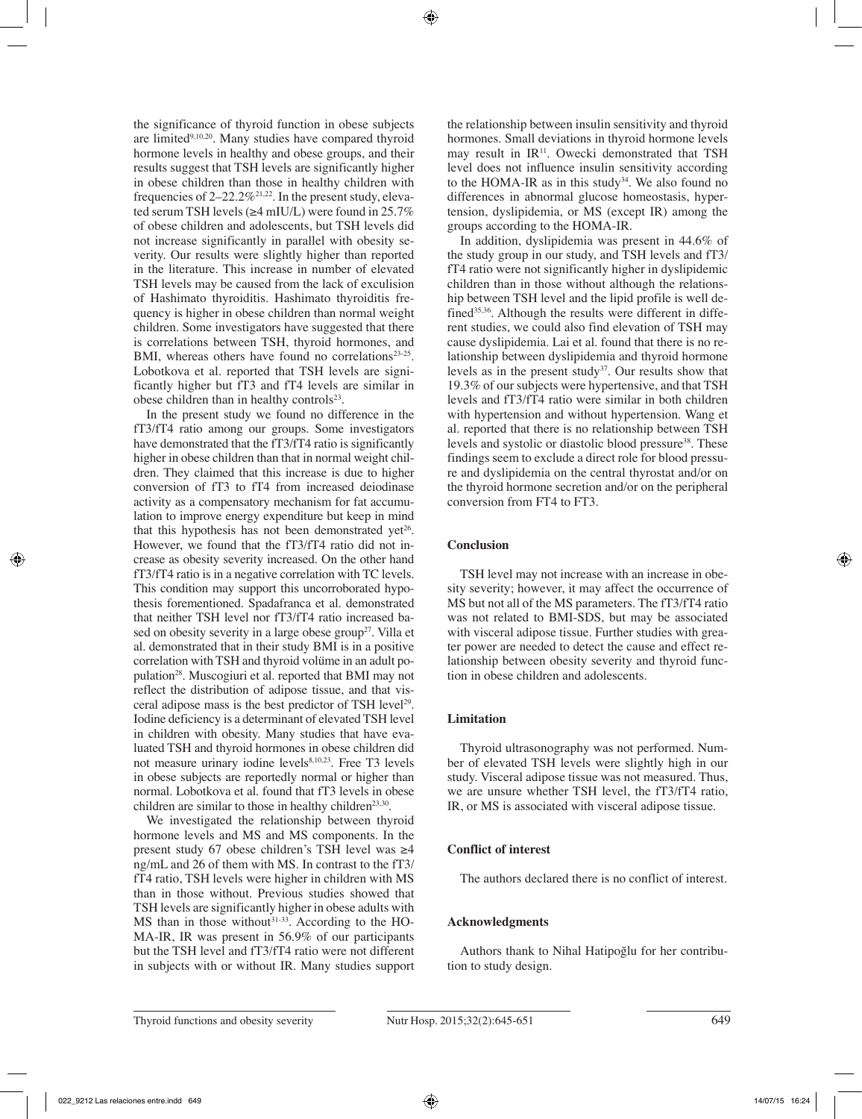the significance of thyroid function in obese subjects are limited<sup>9,10,20</sup>. Many studies have compared thyroid hormone levels in healthy and obese groups, and their results suggest that TSH levels are significantly higher in obese children than those in healthy children with frequencies of  $2-22.2\%^{21,22}$ . In the present study, elevated serum TSH levels (≥4 mIU/L) were found in 25.7% of obese children and adolescents, but TSH levels did not increase significantly in parallel with obesity severity. Our results were slightly higher than reported in the literature. This increase in number of elevated TSH levels may be caused from the lack of exculision of Hashimato thyroiditis. Hashimato thyroiditis frequency is higher in obese children than normal weight children. Some investigators have suggested that there is correlations between TSH, thyroid hormones, and BMI, whereas others have found no correlations<sup>23-25</sup>. Lobotkova et al. reported that TSH levels are significantly higher but fT3 and fT4 levels are similar in obese children than in healthy controls $2<sup>3</sup>$ .

In the present study we found no difference in the fT3/fT4 ratio among our groups. Some investigators have demonstrated that the fT3/fT4 ratio is significantly higher in obese children than that in normal weight children. They claimed that this increase is due to higher conversion of fT3 to fT4 from increased deiodinase activity as a compensatory mechanism for fat accumulation to improve energy expenditure but keep in mind that this hypothesis has not been demonstrated yet<sup>26</sup>. However, we found that the fT3/fT4 ratio did not increase as obesity severity increased. On the other hand fT3/fT4 ratio is in a negative correlation with TC levels. This condition may support this uncorroborated hypothesis forementioned. Spadafranca et al. demonstrated that neither TSH level nor fT3/fT4 ratio increased based on obesity severity in a large obese group<sup>27</sup>. Villa et al. demonstrated that in their study BMI is in a positive correlation with TSH and thyroid volüme in an adult population28. Muscogiuri et al. reported that BMI may not reflect the distribution of adipose tissue, and that visceral adipose mass is the best predictor of TSH level<sup>29</sup>. Iodine deficiency is a determinant of elevated TSH level in children with obesity. Many studies that have evaluated TSH and thyroid hormones in obese children did not measure urinary iodine levels $8,10,23$ . Free T3 levels in obese subjects are reportedly normal or higher than normal. Lobotkova et al. found that fT3 levels in obese children are similar to those in healthy children<sup>23,30</sup>.

We investigated the relationship between thyroid hormone levels and MS and MS components. In the present study 67 obese children's TSH level was ≥4 ng/mL and 26 of them with MS. In contrast to the fT3/ fT4 ratio, TSH levels were higher in children with MS than in those without. Previous studies showed that TSH levels are significantly higher in obese adults with MS than in those without $31-33$ . According to the HO-MA-IR, IR was present in 56.9% of our participants but the TSH level and fT3/fT4 ratio were not different in subjects with or without IR. Many studies support the relationship between insulin sensitivity and thyroid hormones. Small deviations in thyroid hormone levels may result in  $IR<sup>11</sup>$ . Owecki demonstrated that TSH level does not influence insulin sensitivity according to the HOMA-IR as in this study<sup>34</sup>. We also found no differences in abnormal glucose homeostasis, hypertension, dyslipidemia, or MS (except IR) among the groups according to the HOMA-IR.

In addition, dyslipidemia was present in 44.6% of the study group in our study, and TSH levels and fT3/ fT4 ratio were not significantly higher in dyslipidemic children than in those without although the relationship between TSH level and the lipid profile is well defined<sup>35,36</sup>. Although the results were different in different studies, we could also find elevation of TSH may cause dyslipidemia. Lai et al. found that there is no relationship between dyslipidemia and thyroid hormone levels as in the present study<sup>37</sup>. Our results show that 19.3% of our subjects were hypertensive, and that TSH levels and fT3/fT4 ratio were similar in both children with hypertension and without hypertension. Wang et al. reported that there is no relationship between TSH levels and systolic or diastolic blood pressure<sup>38</sup>. These findings seem to exclude a direct role for blood pressure and dyslipidemia on the central thyrostat and/or on the thyroid hormone secretion and/or on the peripheral conversion from FT4 to FT3.

## **Conclusion**

TSH level may not increase with an increase in obesity severity; however, it may affect the occurrence of MS but not all of the MS parameters. The fT3/fT4 ratio was not related to BMI-SDS, but may be associated with visceral adipose tissue. Further studies with greater power are needed to detect the cause and effect relationship between obesity severity and thyroid function in obese children and adolescents.

## **Limitation**

Thyroid ultrasonography was not performed. Number of elevated TSH levels were slightly high in our study. Visceral adipose tissue was not measured. Thus, we are unsure whether TSH level, the fT3/fT4 ratio, IR, or MS is associated with visceral adipose tissue.

## **Conflict of interest**

The authors declared there is no conflict of interest.

## **Acknowledgments**

Authors thank to Nihal Hatipoğlu for her contribution to study design.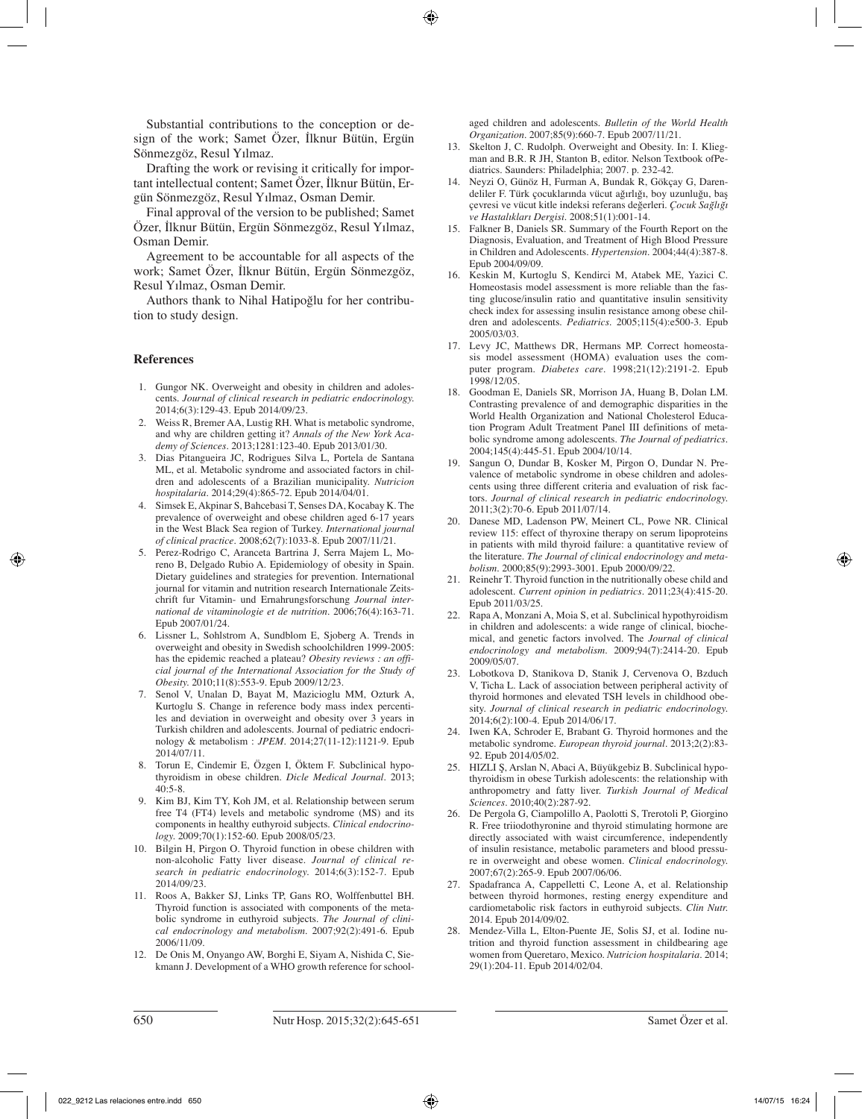Substantial contributions to the conception or design of the work; Samet Özer, İlknur Bütün, Ergün Sönmezgöz, Resul Yılmaz.

Drafting the work or revising it critically for important intellectual content; Samet Özer, İlknur Bütün, Ergün Sönmezgöz, Resul Yılmaz, Osman Demir.

Final approval of the version to be published; Samet Özer, İlknur Bütün, Ergün Sönmezgöz, Resul Yılmaz, Osman Demir.

Agreement to be accountable for all aspects of the work; Samet Özer, İlknur Bütün, Ergün Sönmezgöz, Resul Yılmaz, Osman Demir.

Authors thank to Nihal Hatipoğlu for her contribution to study design.

## **References**

- 1. Gungor NK. Overweight and obesity in children and adolescents. *Journal of clinical research in pediatric endocrinology.*  2014;6(3):129-43. Epub 2014/09/23.
- 2. Weiss R, Bremer AA, Lustig RH. What is metabolic syndrome, and why are children getting it? *Annals of the New York Academy of Sciences.* 2013;1281:123-40. Epub 2013/01/30.
- 3. Dias Pitangueira JC, Rodrigues Silva L, Portela de Santana ML, et al. Metabolic syndrome and associated factors in children and adolescents of a Brazilian municipality. *Nutricion hospitalaria.* 2014;29(4):865-72. Epub 2014/04/01.
- 4. Simsek E, Akpinar S, Bahcebasi T, Senses DA, Kocabay K. The prevalence of overweight and obese children aged 6-17 years in the West Black Sea region of Turkey. *International journal of clinical practice.* 2008;62(7):1033-8. Epub 2007/11/21.
- 5. Perez-Rodrigo C, Aranceta Bartrina J, Serra Majem L, Moreno B, Delgado Rubio A. Epidemiology of obesity in Spain. Dietary guidelines and strategies for prevention. International journal for vitamin and nutrition research Internationale Zeitschrift fur Vitamin- und Ernahrungsforschung *Journal international de vitaminologie et de nutrition.* 2006;76(4):163-71. Epub 2007/01/24.
- 6. Lissner L, Sohlstrom A, Sundblom E, Sjoberg A. Trends in overweight and obesity in Swedish schoolchildren 1999-2005: has the epidemic reached a plateau? *Obesity reviews : an official journal of the International Association for the Study of Obesity.* 2010;11(8):553-9. Epub 2009/12/23.
- Senol V, Unalan D, Bayat M, Mazicioglu MM, Ozturk A, Kurtoglu S. Change in reference body mass index percentiles and deviation in overweight and obesity over 3 years in Turkish children and adolescents. Journal of pediatric endocrinology & metabolism : *JPEM.* 2014;27(11-12):1121-9. Epub 2014/07/11.
- 8. Torun E, Cindemir E, Özgen I, Öktem F. Subclinical hypothyroidism in obese children. *Dicle Medical Journal.* 2013; 40:5-8.
- 9. Kim BJ, Kim TY, Koh JM, et al. Relationship between serum free T4 (FT4) levels and metabolic syndrome (MS) and its components in healthy euthyroid subjects. *Clinical endocrinology.* 2009;70(1):152-60. Epub 2008/05/23.
- 10. Bilgin H, Pirgon O. Thyroid function in obese children with non-alcoholic Fatty liver disease. *Journal of clinical research in pediatric endocrinology.* 2014;6(3):152-7. Epub 2014/09/23.
- 11. Roos A, Bakker SJ, Links TP, Gans RO, Wolffenbuttel BH. Thyroid function is associated with components of the metabolic syndrome in euthyroid subjects. *The Journal of clinical endocrinology and metabolism.* 2007;92(2):491-6. Epub 2006/11/09.
- 12. De Onis M, Onyango AW, Borghi E, Siyam A, Nishida C, Siekmann J. Development of a WHO growth reference for school-

aged children and adolescents. *Bulletin of the World Health Organization.* 2007;85(9):660-7. Epub 2007/11/21.

- 13. Skelton J, C. Rudolph. Overweight and Obesity. In: I. Kliegman and B.R. R JH, Stanton B, editor. Nelson Textbook ofPediatrics. Saunders: Philadelphia; 2007. p. 232-42.
- 14. Neyzi O, Günöz H, Furman A, Bundak R, Gökçay G, Darendeliler F. Türk çocuklarında vücut ağırlığı, boy uzunluğu, baş çevresi ve vücut kitle indeksi referans değerleri. *Çocuk Sağlığı ve Hastalıkları Dergisi.* 2008;51(1):001-14.
- 15. Falkner B, Daniels SR. Summary of the Fourth Report on the Diagnosis, Evaluation, and Treatment of High Blood Pressure in Children and Adolescents. *Hypertension.* 2004;44(4):387-8. Epub 2004/09/09.
- 16. Keskin M, Kurtoglu S, Kendirci M, Atabek ME, Yazici C. Homeostasis model assessment is more reliable than the fasting glucose/insulin ratio and quantitative insulin sensitivity check index for assessing insulin resistance among obese children and adolescents. *Pediatrics.* 2005;115(4):e500-3. Epub 2005/03/03.
- 17. Levy JC, Matthews DR, Hermans MP. Correct homeostasis model assessment (HOMA) evaluation uses the computer program. *Diabetes care.* 1998;21(12):2191-2. Epub 1998/12/05.
- 18. Goodman E, Daniels SR, Morrison JA, Huang B, Dolan LM. Contrasting prevalence of and demographic disparities in the World Health Organization and National Cholesterol Education Program Adult Treatment Panel III definitions of metabolic syndrome among adolescents. *The Journal of pediatrics.*  2004;145(4):445-51. Epub 2004/10/14.
- 19. Sangun O, Dundar B, Kosker M, Pirgon O, Dundar N. Prevalence of metabolic syndrome in obese children and adolescents using three different criteria and evaluation of risk factors. *Journal of clinical research in pediatric endocrinology.*  2011;3(2):70-6. Epub 2011/07/14.
- 20. Danese MD, Ladenson PW, Meinert CL, Powe NR. Clinical review 115: effect of thyroxine therapy on serum lipoproteins in patients with mild thyroid failure: a quantitative review of the literature. *The Journal of clinical endocrinology and metabolism.* 2000;85(9):2993-3001. Epub 2000/09/22.
- 21. Reinehr T. Thyroid function in the nutritionally obese child and adolescent. *Current opinion in pediatrics.* 2011;23(4):415-20. Epub 2011/03/25.
- 22. Rapa A, Monzani A, Moia S, et al. Subclinical hypothyroidism in children and adolescents: a wide range of clinical, biochemical, and genetic factors involved. The *Journal of clinical endocrinology and metabolism.* 2009;94(7):2414-20. Epub 2009/05/07.
- 23. Lobotkova D, Stanikova D, Stanik J, Cervenova O, Bzduch V, Ticha L. Lack of association between peripheral activity of thyroid hormones and elevated TSH levels in childhood obesity. *Journal of clinical research in pediatric endocrinology.*  2014;6(2):100-4. Epub 2014/06/17.
- 24. Iwen KA, Schroder E, Brabant G. Thyroid hormones and the metabolic syndrome. *European thyroid journal.* 2013;2(2):83- 92. Epub 2014/05/02.
- 25. HIZLI Ş, Arslan N, Abaci A, Büyükgebiz B. Subclinical hypothyroidism in obese Turkish adolescents: the relationship with anthropometry and fatty liver. *Turkish Journal of Medical Sciences.* 2010;40(2):287-92.
- 26. De Pergola G, Ciampolillo A, Paolotti S, Trerotoli P, Giorgino R. Free triiodothyronine and thyroid stimulating hormone are directly associated with waist circumference, independently of insulin resistance, metabolic parameters and blood pressure in overweight and obese women. *Clinical endocrinology.*  2007;67(2):265-9. Epub 2007/06/06.
- 27. Spadafranca A, Cappelletti C, Leone A, et al. Relationship between thyroid hormones, resting energy expenditure and cardiometabolic risk factors in euthyroid subjects. *Clin Nutr.*  2014. Epub 2014/09/02.
- 28. Mendez-Villa L, Elton-Puente JE, Solis SJ, et al. Iodine nutrition and thyroid function assessment in childbearing age women from Queretaro, Mexico. *Nutricion hospitalaria.* 2014; 29(1):204-11. Epub 2014/02/04.